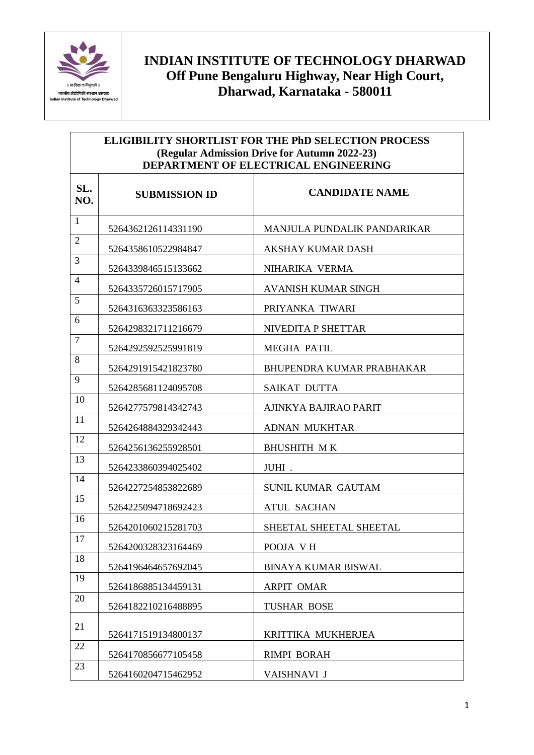

 $\mathsf{r}$ 

| <b>ELIGIBILITY SHORTLIST FOR THE PhD SELECTION PROCESS</b><br>(Regular Admission Drive for Autumn 2022-23)<br>DEPARTMENT OF ELECTRICAL ENGINEERING |                      |                                    |
|----------------------------------------------------------------------------------------------------------------------------------------------------|----------------------|------------------------------------|
| SL.<br>NO.                                                                                                                                         | <b>SUBMISSION ID</b> | <b>CANDIDATE NAME</b>              |
| $\mathbf{1}$                                                                                                                                       | 5264362126114331190  | <b>MANJULA PUNDALIK PANDARIKAR</b> |
| $\overline{2}$                                                                                                                                     | 5264358610522984847  | <b>AKSHAY KUMAR DASH</b>           |
| 3                                                                                                                                                  | 5264339846515133662  | NIHARIKA VERMA                     |
| 4                                                                                                                                                  | 5264335726015717905  | <b>AVANISH KUMAR SINGH</b>         |
| 5                                                                                                                                                  | 5264316363323586163  | PRIYANKA TIWARI                    |
| 6                                                                                                                                                  | 5264298321711216679  | NIVEDITA P SHETTAR                 |
| $\overline{7}$                                                                                                                                     | 5264292592525991819  | <b>MEGHA PATIL</b>                 |
| 8                                                                                                                                                  | 5264291915421823780  | <b>BHUPENDRA KUMAR PRABHAKAR</b>   |
| 9                                                                                                                                                  | 5264285681124095708  | <b>SAIKAT DUTTA</b>                |
| 10                                                                                                                                                 | 5264277579814342743  | AJINKYA BAJIRAO PARIT              |
| 11                                                                                                                                                 | 5264264884329342443  | <b>ADNAN MUKHTAR</b>               |
| 12                                                                                                                                                 | 5264256136255928501  | <b>BHUSHITH MK</b>                 |
| 13                                                                                                                                                 | 5264233860394025402  | JUHI.                              |
| 14                                                                                                                                                 | 5264227254853822689  | <b>SUNIL KUMAR GAUTAM</b>          |
| 15                                                                                                                                                 | 5264225094718692423  | <b>ATUL SACHAN</b>                 |
| 16                                                                                                                                                 | 5264201060215281703  | SHEETAL SHEETAL SHEETAL            |
| 17                                                                                                                                                 | 5264200328323164469  | POOJA VH                           |
| 18                                                                                                                                                 | 5264196464657692045  | <b>BINAYA KUMAR BISWAL</b>         |
| 19                                                                                                                                                 | 5264186885134459131  | <b>ARPIT OMAR</b>                  |
| 20                                                                                                                                                 | 5264182210216488895  | <b>TUSHAR BOSE</b>                 |
| 21                                                                                                                                                 | 5264171519134800137  | KRITTIKA MUKHERJEA                 |
| 22                                                                                                                                                 | 5264170856677105458  | <b>RIMPI BORAH</b>                 |
| 23                                                                                                                                                 | 5264160204715462952  | VAISHNAVI J                        |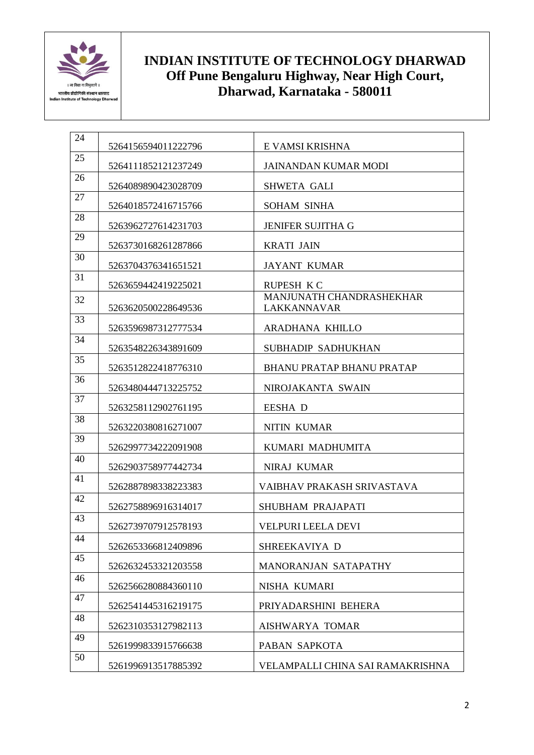

| 24 | 5264156594011222796 | E VAMSI KRISHNA                                |
|----|---------------------|------------------------------------------------|
| 25 | 5264111852121237249 | <b>JAINANDAN KUMAR MODI</b>                    |
| 26 | 5264089890423028709 | <b>SHWETA GALI</b>                             |
| 27 | 5264018572416715766 | <b>SOHAM SINHA</b>                             |
| 28 | 5263962727614231703 | JENIFER SUJITHA G                              |
| 29 | 5263730168261287866 | <b>KRATI JAIN</b>                              |
| 30 | 5263704376341651521 | <b>JAYANT KUMAR</b>                            |
| 31 | 5263659442419225021 | <b>RUPESH KC</b>                               |
| 32 | 5263620500228649536 | MANJUNATH CHANDRASHEKHAR<br><b>LAKKANNAVAR</b> |
| 33 | 5263596987312777534 | ARADHANA KHILLO                                |
| 34 | 5263548226343891609 | SUBHADIP SADHUKHAN                             |
| 35 | 5263512822418776310 | <b>BHANU PRATAP BHANU PRATAP</b>               |
| 36 | 5263480444713225752 | NIROJAKANTA SWAIN                              |
| 37 | 5263258112902761195 | <b>EESHA D</b>                                 |
| 38 | 5263220380816271007 | <b>NITIN KUMAR</b>                             |
| 39 | 5262997734222091908 | KUMARI MADHUMITA                               |
| 40 | 5262903758977442734 | NIRAJ KUMAR                                    |
| 41 | 5262887898338223383 | VAIBHAV PRAKASH SRIVASTAVA                     |
| 42 | 5262758896916314017 | SHUBHAM PRAJAPATI                              |
| 43 | 5262739707912578193 | <b>VELPURI LEELA DEVI</b>                      |
| 44 | 5262653366812409896 | SHREEKAVIYA D                                  |
| 45 | 5262632453321203558 | MANORANJAN SATAPATHY                           |
| 46 | 5262566280884360110 | NISHA KUMARI                                   |
| 47 | 5262541445316219175 | PRIYADARSHINI BEHERA                           |
| 48 | 5262310353127982113 | AISHWARYA TOMAR                                |
| 49 | 5261999833915766638 | PABAN SAPKOTA                                  |
| 50 | 5261996913517885392 | VELAMPALLI CHINA SAI RAMAKRISHNA               |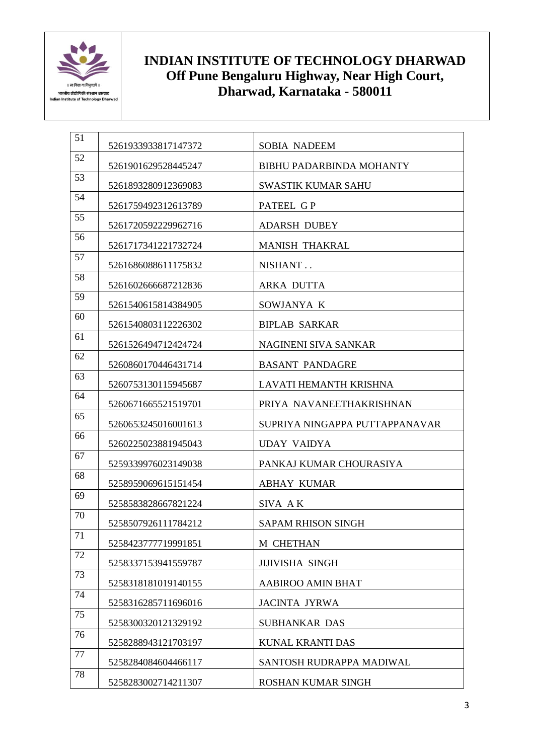

| 51              | 5261933933817147372 | <b>SOBIA NADEEM</b>             |
|-----------------|---------------------|---------------------------------|
| 52              | 5261901629528445247 | <b>BIBHU PADARBINDA MOHANTY</b> |
| 53              | 5261893280912369083 | <b>SWASTIK KUMAR SAHU</b>       |
| 54              | 5261759492312613789 | PATEEL GP                       |
| 55              | 5261720592229962716 | <b>ADARSH DUBEY</b>             |
| 56              | 5261717341221732724 | <b>MANISH THAKRAL</b>           |
| 57              | 5261686088611175832 | NISHANT                         |
| 58              | 5261602666687212836 | <b>ARKA DUTTA</b>               |
| 59              | 5261540615814384905 | SOWJANYA K                      |
| 60              | 5261540803112226302 | <b>BIPLAB SARKAR</b>            |
| 61              | 5261526494712424724 | NAGINENI SIVA SANKAR            |
| 62              | 5260860170446431714 | <b>BASANT PANDAGRE</b>          |
| 63              | 5260753130115945687 | LAVATI HEMANTH KRISHNA          |
| 64              | 5260671665521519701 | PRIYA NAVANEETHAKRISHNAN        |
| 65              | 5260653245016001613 | SUPRIYA NINGAPPA PUTTAPPANAVAR  |
| 66              | 5260225023881945043 | <b>UDAY VAIDYA</b>              |
| 67              | 5259339976023149038 | PANKAJ KUMAR CHOURASIYA         |
| 68              | 5258959069615151454 | <b>ABHAY KUMAR</b>              |
| 69              | 5258583828667821224 | SIVA AK                         |
| 70              | 5258507926111784212 | <b>SAPAM RHISON SINGH</b>       |
| $\overline{71}$ | 5258423777719991851 | M CHETHAN                       |
| 72              | 5258337153941559787 | <b>JIJIVISHA SINGH</b>          |
| 73              | 5258318181019140155 | <b>AABIROO AMIN BHAT</b>        |
| 74              | 5258316285711696016 | <b>JACINTA JYRWA</b>            |
| 75              | 5258300320121329192 | <b>SUBHANKAR DAS</b>            |
| 76              | 5258288943121703197 | <b>KUNAL KRANTI DAS</b>         |
| 77              | 5258284084604466117 | SANTOSH RUDRAPPA MADIWAL        |
| 78              | 5258283002714211307 | <b>ROSHAN KUMAR SINGH</b>       |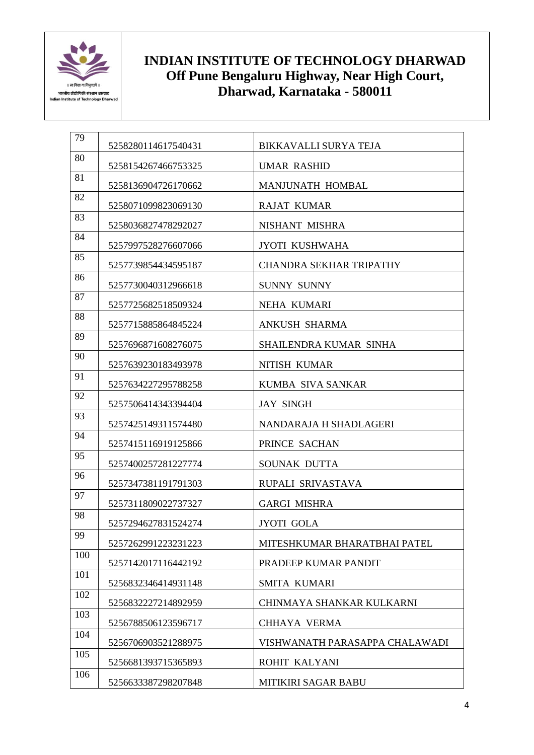

| 79  | 5258280114617540431 | <b>BIKKAVALLI SURYA TEJA</b>   |
|-----|---------------------|--------------------------------|
| 80  | 5258154267466753325 | <b>UMAR RASHID</b>             |
| 81  | 5258136904726170662 | <b>MANJUNATH HOMBAL</b>        |
| 82  | 5258071099823069130 | <b>RAJAT KUMAR</b>             |
| 83  | 5258036827478292027 | NISHANT MISHRA                 |
| 84  | 5257997528276607066 | <b>JYOTI KUSHWAHA</b>          |
| 85  | 5257739854434595187 | <b>CHANDRA SEKHAR TRIPATHY</b> |
| 86  | 5257730040312966618 | <b>SUNNY SUNNY</b>             |
| 87  | 5257725682518509324 | NEHA KUMARI                    |
| 88  | 5257715885864845224 | <b>ANKUSH SHARMA</b>           |
| 89  | 5257696871608276075 | SHAILENDRA KUMAR SINHA         |
| 90  | 5257639230183493978 | <b>NITISH KUMAR</b>            |
| 91  | 5257634227295788258 | KUMBA SIVA SANKAR              |
| 92  | 5257506414343394404 | <b>JAY SINGH</b>               |
| 93  | 5257425149311574480 | NANDARAJA H SHADLAGERI         |
| 94  | 5257415116919125866 | PRINCE SACHAN                  |
| 95  | 5257400257281227774 | SOUNAK DUTTA                   |
| 96  | 5257347381191791303 | RUPALI SRIVASTAVA              |
| 97  | 5257311809022737327 | <b>GARGI MISHRA</b>            |
| 98  | 5257294627831524274 | <b>JYOTI GOLA</b>              |
| 99  | 5257262991223231223 | MITESHKUMAR BHARATBHAI PATEL   |
| 100 | 5257142017116442192 | PRADEEP KUMAR PANDIT           |
| 101 | 5256832346414931148 | SMITA KUMARI                   |
| 102 | 5256832227214892959 | CHINMAYA SHANKAR KULKARNI      |
| 103 | 5256788506123596717 | <b>CHHAYA VERMA</b>            |
| 104 | 5256706903521288975 | VISHWANATH PARASAPPA CHALAWADI |
| 105 | 5256681393715365893 | ROHIT KALYANI                  |
| 106 | 5256633387298207848 | MITIKIRI SAGAR BABU            |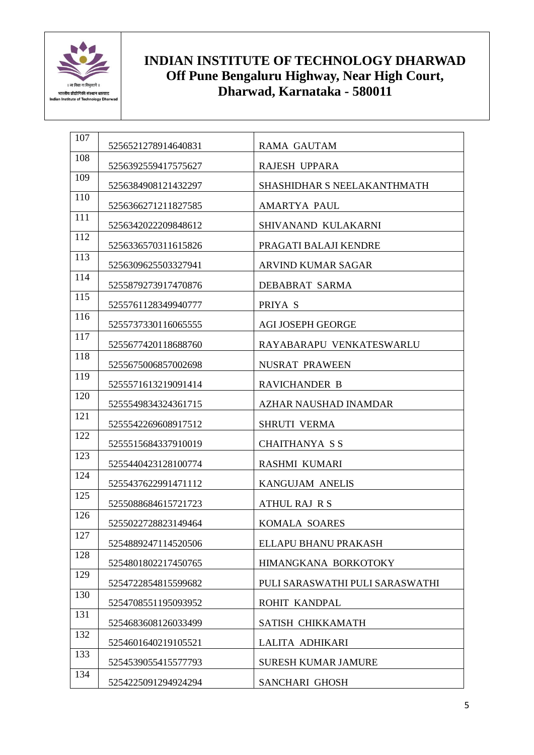

| 107 | 5256521278914640831 | <b>RAMA GAUTAM</b>              |
|-----|---------------------|---------------------------------|
| 108 | 5256392559417575627 | <b>RAJESH UPPARA</b>            |
| 109 | 5256384908121432297 | SHASHIDHAR S NEELAKANTHMATH     |
| 110 | 5256366271211827585 | AMARTYA PAUL                    |
| 111 | 5256342022209848612 | SHIVANAND KULAKARNI             |
| 112 | 5256336570311615826 | PRAGATI BALAJI KENDRE           |
| 113 | 5256309625503327941 | ARVIND KUMAR SAGAR              |
| 114 | 5255879273917470876 | DEBABRAT SARMA                  |
| 115 | 5255761128349940777 | PRIYA S                         |
| 116 | 5255737330116065555 | <b>AGI JOSEPH GEORGE</b>        |
| 117 | 5255677420118688760 | RAYABARAPU VENKATESWARLU        |
| 118 | 5255675006857002698 | NUSRAT PRAWEEN                  |
| 119 | 5255571613219091414 | RAVICHANDER B                   |
| 120 | 5255549834324361715 | AZHAR NAUSHAD INAMDAR           |
| 121 | 5255542269608917512 | <b>SHRUTI VERMA</b>             |
| 122 | 5255515684337910019 | <b>CHAITHANYA SS</b>            |
| 123 | 5255440423128100774 | RASHMI KUMARI                   |
| 124 | 5255437622991471112 | <b>KANGUJAM ANELIS</b>          |
| 125 | 5255088684615721723 | <b>ATHUL RAJ R S</b>            |
| 126 | 5255022728823149464 | <b>KOMALA SOARES</b>            |
| 127 | 5254889247114520506 | ELLAPU BHANU PRAKASH            |
| 128 | 5254801802217450765 | HIMANGKANA BORKOTOKY            |
| 129 | 5254722854815599682 | PULI SARASWATHI PULI SARASWATHI |
| 130 | 5254708551195093952 | ROHIT KANDPAL                   |
| 131 | 5254683608126033499 | SATISH CHIKKAMATH               |
| 132 | 5254601640219105521 | LALITA ADHIKARI                 |
| 133 | 5254539055415577793 | <b>SURESH KUMAR JAMURE</b>      |
| 134 | 5254225091294924294 | SANCHARI GHOSH                  |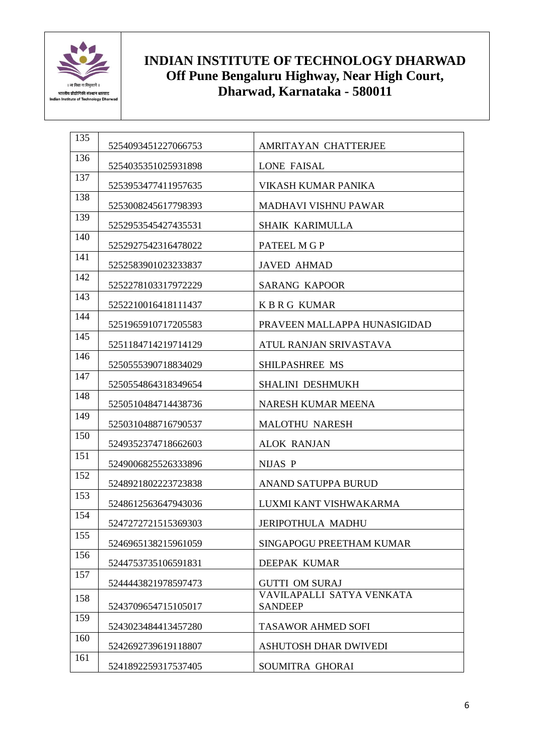

| 135 | 5254093451227066753 | <b>AMRITAYAN CHATTERJEE</b>                 |
|-----|---------------------|---------------------------------------------|
| 136 | 5254035351025931898 | LONE FAISAL                                 |
| 137 | 5253953477411957635 | VIKASH KUMAR PANIKA                         |
| 138 | 5253008245617798393 | <b>MADHAVI VISHNU PAWAR</b>                 |
| 139 | 5252953545427435531 | <b>SHAIK KARIMULLA</b>                      |
| 140 | 5252927542316478022 | PATEEL M G P                                |
| 141 | 5252583901023233837 | <b>JAVED AHMAD</b>                          |
| 142 | 5252278103317972229 | <b>SARANG KAPOOR</b>                        |
| 143 | 5252210016418111437 | <b>KBRG KUMAR</b>                           |
| 144 |                     |                                             |
| 145 | 5251965910717205583 | PRAVEEN MALLAPPA HUNASIGIDAD                |
| 146 | 5251184714219714129 | ATUL RANJAN SRIVASTAVA                      |
| 147 | 5250555390718834029 | <b>SHILPASHREE MS</b>                       |
| 148 | 5250554864318349654 | <b>SHALINI DESHMUKH</b>                     |
| 149 | 5250510484714438736 | NARESH KUMAR MEENA                          |
| 150 | 5250310488716790537 | <b>MALOTHU NARESH</b>                       |
| 151 | 5249352374718662603 | <b>ALOK RANJAN</b>                          |
| 152 | 5249006825526333896 | <b>NIJAS P</b>                              |
|     | 5248921802223723838 | <b>ANAND SATUPPA BURUD</b>                  |
| 153 | 5248612563647943036 | LUXMI KANT VISHWAKARMA                      |
| 154 | 5247272721515369303 | <b>JERIPOTHULA MADHU</b>                    |
| 155 | 5246965138215961059 | SINGAPOGU PREETHAM KUMAR                    |
| 156 | 5244753735106591831 | DEEPAK KUMAR                                |
| 157 | 5244443821978597473 | <b>GUTTI OM SURAJ</b>                       |
| 158 | 5243709654715105017 | VAVILAPALLI SATYA VENKATA<br><b>SANDEEP</b> |
| 159 | 5243023484413457280 | <b>TASAWOR AHMED SOFI</b>                   |
| 160 | 5242692739619118807 | ASHUTOSH DHAR DWIVEDI                       |
| 161 | 5241892259317537405 | SOUMITRA GHORAI                             |